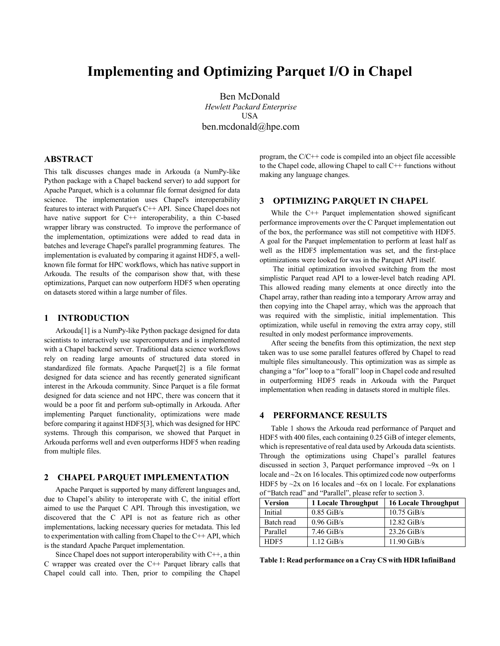# **Implementing and Optimizing Parquet I/O in Chapel**

Ben McDonald *Hewlett Packard Enterprise* USA ben.mcdonald@hpe.com

#### **ABSTRACT**

This talk discusses changes made in Arkouda (a NumPy-like Python package with a Chapel backend server) to add support for Apache Parquet, which is a columnar file format designed for data science. The implementation uses Chapel's interoperability features to interact with Parquet's C++ API. Since Chapel does not have native support for C<sup>++</sup> interoperability, a thin C-based wrapper library was constructed. To improve the performance of the implementation, optimizations were added to read data in batches and leverage Chapel's parallel programming features. The implementation is evaluated by comparing it against HDF5, a wellknown file format for HPC workflows, which has native support in Arkouda. The results of the comparison show that, with these optimizations, Parquet can now outperform HDF5 when operating on datasets stored within a large number of files.

#### **1 INTRODUCTION**

Arkouda[1] is a NumPy-like Python package designed for data scientists to interactively use supercomputers and is implemented with a Chapel backend server. Traditional data science workflows rely on reading large amounts of structured data stored in standardized file formats. Apache Parquet[2] is a file format designed for data science and has recently generated significant interest in the Arkouda community. Since Parquet is a file format designed for data science and not HPC, there was concern that it would be a poor fit and perform sub-optimally in Arkouda. After implementing Parquet functionality, optimizations were made before comparing it against HDF5[3], which was designed for HPC systems. Through this comparison, we showed that Parquet in Arkouda performs well and even outperforms HDF5 when reading from multiple files.

### **2 CHAPEL PARQUET IMPLEMENTATION**

Apache Parquet is supported by many different languages and, due to Chapel's ability to interoperate with C, the initial effort aimed to use the Parquet C API. Through this investigation, we discovered that the C API is not as feature rich as other implementations, lacking necessary queries for metadata. This led to experimentation with calling from Chapel to the C++ API, which is the standard Apache Parquet implementation.

Since Chapel does not support interoperability with  $C++$ , a thin C wrapper was created over the C++ Parquet library calls that Chapel could call into. Then, prior to compiling the Chapel program, the C/C++ code is compiled into an object file accessible to the Chapel code, allowing Chapel to call  $C++$  functions without making any language changes.

#### **3 OPTIMIZING PARQUET IN CHAPEL**

While the C<sup>++</sup> Parquet implementation showed significant performance improvements over the C Parquet implementation out of the box, the performance was still not competitive with HDF5. A goal for the Parquet implementation to perform at least half as well as the HDF5 implementation was set, and the first-place optimizations were looked for was in the Parquet API itself.

The initial optimization involved switching from the most simplistic Parquet read API to a lower-level batch reading API. This allowed reading many elements at once directly into the Chapel array, rather than reading into a temporary Arrow array and then copying into the Chapel array, which was the approach that was required with the simplistic, initial implementation. This optimization, while useful in removing the extra array copy, still resulted in only modest performance improvements.

After seeing the benefits from this optimization, the next step taken was to use some parallel features offered by Chapel to read multiple files simultaneously. This optimization was as simple as changing a "for" loop to a "forall" loop in Chapel code and resulted in outperforming HDF5 reads in Arkouda with the Parquet implementation when reading in datasets stored in multiple files.

#### **4 PERFORMANCE RESULTS**

Table 1 shows the Arkouda read performance of Parquet and HDF5 with 400 files, each containing 0.25 GiB of integer elements, which is representative of real data used by Arkouda data scientists. Through the optimizations using Chapel's parallel features discussed in section 3, Parquet performance improved ~9x on 1 locale and ~2x on 16 locales. This optimized code now outperforms HDF5 by  $\sim$ 2x on 16 locales and  $\sim$ 6x on 1 locale. For explanations of "Batch read" and "Parallel", please refer to section 3.

| Version    | 1 Locale Throughput | <b>16 Locale Throughput</b> |
|------------|---------------------|-----------------------------|
| Initial    | $0.85$ GiB/s        | $10.75$ GiB/s               |
| Batch read | $0.96$ GiB/s        | $12.82$ GiB/s               |
| Parallel   | $7.46$ GiB/s        | $23.26$ GiB/s               |
| HDF5       | $1.12$ GiB/s        | $11.90$ GiB/s               |

**Table 1: Read performance on a Cray CS with HDR InfiniBand**